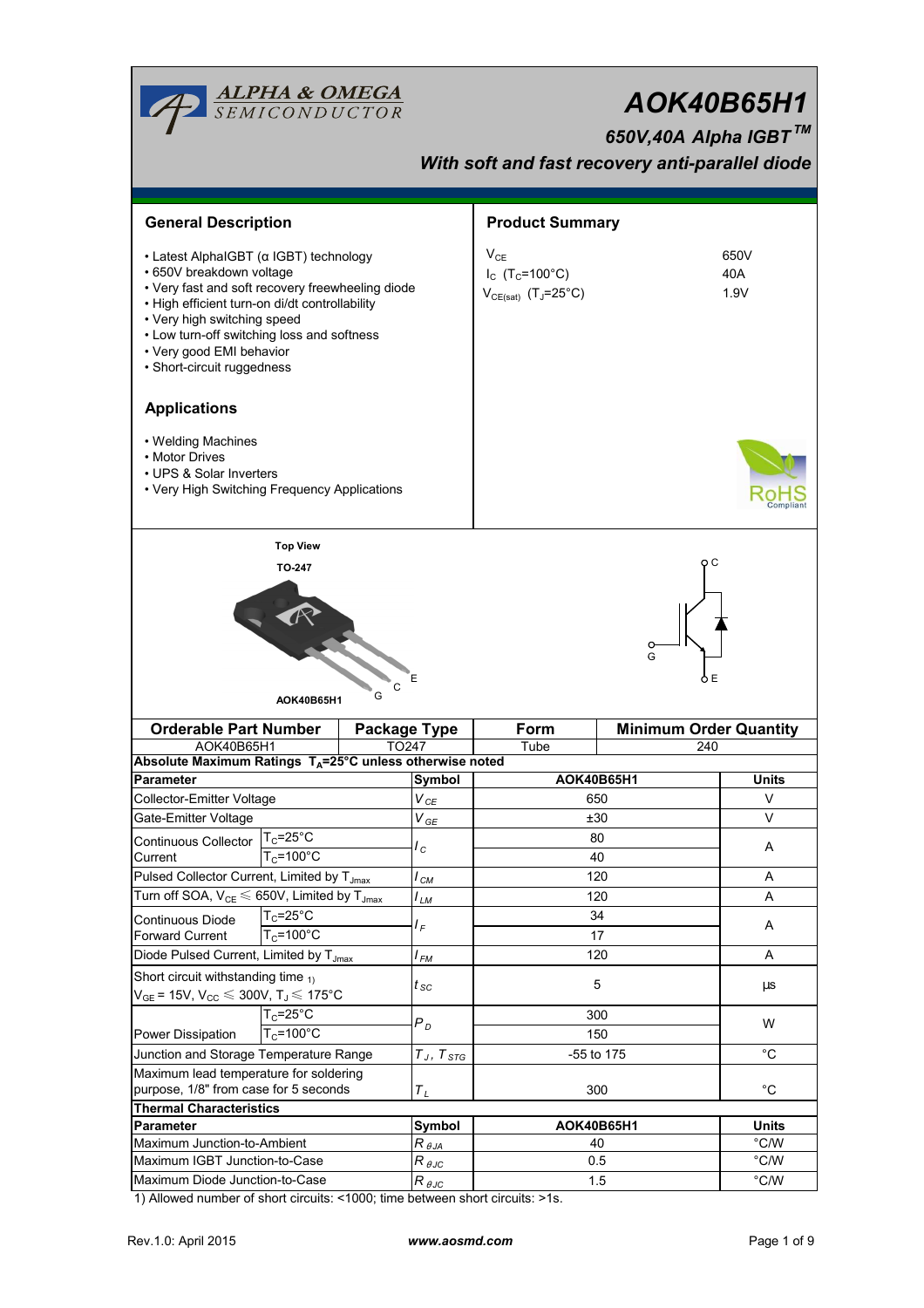|                                                                                                                                                                                                                                                                                                                 | <b>ALPHA &amp; OMEGA</b><br>SEMICONDUCTOR              |                 |                             | AOK40B65H1<br>650V,40A Alpha IGBT™<br>With soft and fast recovery anti-parallel diode |               |                                |  |  |  |
|-----------------------------------------------------------------------------------------------------------------------------------------------------------------------------------------------------------------------------------------------------------------------------------------------------------------|--------------------------------------------------------|-----------------|-----------------------------|---------------------------------------------------------------------------------------|---------------|--------------------------------|--|--|--|
| <b>General Description</b>                                                                                                                                                                                                                                                                                      |                                                        |                 | <b>Product Summary</b>      |                                                                                       |               |                                |  |  |  |
| • Latest AlphaIGBT (α IGBT) technology<br>• 650V breakdown voltage<br>• Very fast and soft recovery freewheeling diode<br>· High efficient turn-on di/dt controllability<br>• Very high switching speed<br>• Low turn-off switching loss and softness<br>• Very good EMI behavior<br>• Short-circuit ruggedness |                                                        |                 |                             | $V_{CE}$<br>$I_{C}$ (T <sub>C</sub> =100°C)<br>$V_{CE(sat)}$ (T <sub>J</sub> =25°C)   |               | 650V<br>40A<br>1.9V            |  |  |  |
| <b>Applications</b>                                                                                                                                                                                                                                                                                             |                                                        |                 |                             |                                                                                       |               |                                |  |  |  |
| • Welding Machines<br>• Motor Drives<br>• UPS & Solar Inverters<br>• Very High Switching Frequency Applications                                                                                                                                                                                                 |                                                        |                 |                             |                                                                                       |               |                                |  |  |  |
|                                                                                                                                                                                                                                                                                                                 | <b>Top View</b>                                        |                 |                             |                                                                                       |               |                                |  |  |  |
| E<br>$\mathsf{C}$<br>G<br>AOK40B65H1<br><b>Orderable Part Number</b><br><b>Package Type</b>                                                                                                                                                                                                                     |                                                        |                 |                             | G<br><b>Minimum Order Quantity</b><br>Form                                            |               |                                |  |  |  |
| AOK40B65H1                                                                                                                                                                                                                                                                                                      |                                                        | TO247           |                             | Tube                                                                                  | 240           |                                |  |  |  |
| Absolute Maximum Ratings T <sub>A</sub> =25°C unless otherwise noted<br><b>Parameter</b>                                                                                                                                                                                                                        |                                                        |                 | Symbol                      | AOK40B65H1                                                                            |               | Units                          |  |  |  |
| Collector-Emitter Voltage                                                                                                                                                                                                                                                                                       |                                                        |                 | $V_{\textit{CE}}$           | 650                                                                                   |               | V                              |  |  |  |
| Gate-Emitter Voltage                                                                                                                                                                                                                                                                                            |                                                        |                 | $V_{GE}$                    | ±30                                                                                   |               | V                              |  |  |  |
| Continuous Collector                                                                                                                                                                                                                                                                                            | $T_c = 25^\circ C$                                     |                 |                             | 80                                                                                    |               |                                |  |  |  |
| Current                                                                                                                                                                                                                                                                                                         | $T_c = 100^{\circ}$ C                                  |                 | $I_c$                       | 40                                                                                    |               | A                              |  |  |  |
|                                                                                                                                                                                                                                                                                                                 | Pulsed Collector Current, Limited by T <sub>Jmax</sub> |                 | $I_{CM}$                    | 120                                                                                   |               | Α                              |  |  |  |
| Turn off SOA, $V_{CE} \leq 650V$ , Limited by T <sub>Jmax</sub>                                                                                                                                                                                                                                                 |                                                        | I <sub>LM</sub> | 120                         |                                                                                       | A             |                                |  |  |  |
| Continuous Diode                                                                                                                                                                                                                                                                                                | $T_c = 25$ °C                                          |                 |                             | 34                                                                                    |               |                                |  |  |  |
| Forward Current                                                                                                                                                                                                                                                                                                 | $T_c = 100^{\circ}C$                                   |                 | $I_F$                       | 17                                                                                    |               | A                              |  |  |  |
| Diode Pulsed Current, Limited by T <sub>Jmax</sub>                                                                                                                                                                                                                                                              |                                                        | $I_{FM}$        | 120                         |                                                                                       | Α             |                                |  |  |  |
| Short circuit withstanding time $_{1}$<br>$V_{GE}$ = 15V, $V_{CC} \le 300V$ , $T_J \le 175^{\circ}C$                                                                                                                                                                                                            |                                                        |                 | $t_{sc}$                    | 5                                                                                     |               | μs                             |  |  |  |
|                                                                                                                                                                                                                                                                                                                 | $T_c = 25$ °C                                          |                 | $P_D$                       | 300                                                                                   |               | W                              |  |  |  |
| $T_c = 100^{\circ}C$<br>Power Dissipation                                                                                                                                                                                                                                                                       |                                                        |                 |                             | 150                                                                                   |               |                                |  |  |  |
| Junction and Storage Temperature Range                                                                                                                                                                                                                                                                          |                                                        |                 | $T_J,\,T_{STG}$             |                                                                                       | -55 to 175    | $^{\circ}C$                    |  |  |  |
| Maximum lead temperature for soldering                                                                                                                                                                                                                                                                          |                                                        |                 |                             |                                                                                       |               |                                |  |  |  |
| purpose, 1/8" from case for 5 seconds                                                                                                                                                                                                                                                                           |                                                        |                 | $T_L$                       |                                                                                       | 300           | $^{\circ}C$                    |  |  |  |
| <b>Thermal Characteristics</b>                                                                                                                                                                                                                                                                                  |                                                        |                 |                             |                                                                                       |               |                                |  |  |  |
| <b>Parameter</b><br>Maximum Junction-to-Ambient                                                                                                                                                                                                                                                                 |                                                        |                 | Symbol                      |                                                                                       | AOK40B65H1    | <b>Units</b><br>$^{\circ}$ C/W |  |  |  |
|                                                                                                                                                                                                                                                                                                                 |                                                        |                 | $R_{\theta$ JA              | 40<br>0.5                                                                             |               | $\degree$ C/W                  |  |  |  |
| Maximum IGBT Junction-to-Case<br>Maximum Diode Junction-to-Case                                                                                                                                                                                                                                                 |                                                        |                 | $R_{\theta \underline{J}C}$ |                                                                                       | $\degree$ C/W |                                |  |  |  |
|                                                                                                                                                                                                                                                                                                                 |                                                        |                 | $R_{\theta \text{JC}}$      |                                                                                       | 1.5           |                                |  |  |  |

1) Allowed number of short circuits: <1000; time between short circuits: >1s.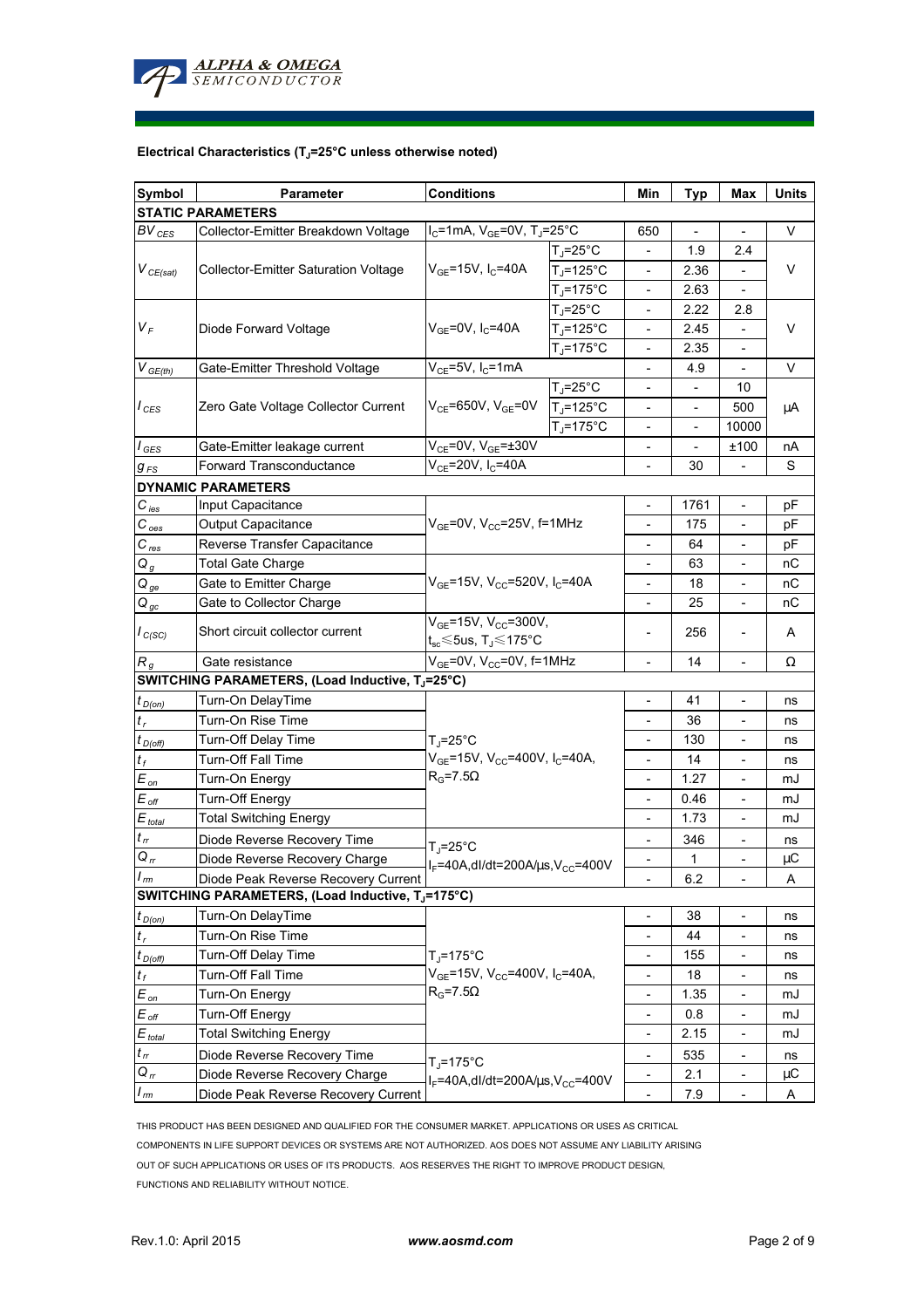

### **Electrical Characteristics (TJ=25°C unless otherwise noted)**

| Symbol                     | <b>Conditions</b><br><b>Parameter</b>            |                                                                                                     |                   | Min                          | <b>Typ</b>               | Max                      | Units |  |  |  |  |  |
|----------------------------|--------------------------------------------------|-----------------------------------------------------------------------------------------------------|-------------------|------------------------------|--------------------------|--------------------------|-------|--|--|--|--|--|
| <b>STATIC PARAMETERS</b>   |                                                  |                                                                                                     |                   |                              |                          |                          |       |  |  |  |  |  |
| $BV_{CES}$                 | Collector-Emitter Breakdown Voltage              | $I_C$ =1mA, $V_{GE}$ =0V, T <sub>J</sub> =25°C                                                      |                   | 650                          |                          |                          | V     |  |  |  |  |  |
| $V_{CE(sat)}$              |                                                  |                                                                                                     | $T_J = 25$ °C     |                              | 1.9                      | 2.4                      | V     |  |  |  |  |  |
|                            | <b>Collector-Emitter Saturation Voltage</b>      | $V_{GE}$ =15V, I <sub>C</sub> =40A                                                                  | $T_J = 125$ °C    |                              | 2.36                     |                          |       |  |  |  |  |  |
|                            |                                                  |                                                                                                     | $T_J = 175$ °C    |                              | 2.63                     |                          |       |  |  |  |  |  |
|                            |                                                  | $V_{GE}$ =0V, $I_C$ =40A                                                                            | $T_{\rm J}$ =25°C |                              | 2.22                     | 2.8                      | V     |  |  |  |  |  |
| $V_F$                      | Diode Forward Voltage                            |                                                                                                     | $T_J = 125$ °C    |                              | 2.45                     |                          |       |  |  |  |  |  |
|                            |                                                  |                                                                                                     | $T_J = 175$ °C    | -                            | 2.35                     | $\overline{\phantom{a}}$ |       |  |  |  |  |  |
| $V_{GE(th)}$               | Gate-Emitter Threshold Voltage                   | $V_{CE}$ =5V, I <sub>C</sub> =1mA                                                                   |                   | $\overline{\phantom{a}}$     | 4.9                      | $\overline{\phantom{a}}$ | V     |  |  |  |  |  |
| $I_{CES}$                  | Zero Gate Voltage Collector Current              | $V_{CE}$ =650V, $V_{GE}$ =0V                                                                        | $T_{J}$ =25°C     | $\overline{\phantom{0}}$     | $\overline{\phantom{a}}$ | 10                       |       |  |  |  |  |  |
|                            |                                                  |                                                                                                     | $T_J = 125$ °C    | $\overline{\phantom{0}}$     | $\overline{a}$           | 500                      | μA    |  |  |  |  |  |
|                            |                                                  |                                                                                                     | $T_J = 175$ °C    |                              |                          | 10000                    |       |  |  |  |  |  |
| $I_{\text{GES}}$           | Gate-Emitter leakage current                     | $V_{CE}$ =0V, $V_{GE}$ =±30V                                                                        |                   |                              |                          | ±100                     | nA    |  |  |  |  |  |
| $g_{FS}$                   | <b>Forward Transconductance</b>                  | $V_{CE} = 20V, I_C = 40A$                                                                           |                   | $\overline{a}$               | 30                       |                          | S     |  |  |  |  |  |
|                            | <b>DYNAMIC PARAMETERS</b>                        |                                                                                                     |                   |                              |                          |                          |       |  |  |  |  |  |
| $C_\mathit{ies}$           | Input Capacitance                                | $V_{GE}$ =0V, $V_{CC}$ =25V, f=1MHz                                                                 |                   |                              | 1761                     | $\overline{\phantom{a}}$ | рF    |  |  |  |  |  |
| $C_{oes}$                  | Output Capacitance                               |                                                                                                     |                   |                              | 175                      |                          | рF    |  |  |  |  |  |
| $C_{\mathit{res}}$         | Reverse Transfer Capacitance                     |                                                                                                     |                   |                              | 64                       | $\overline{\phantom{a}}$ | рF    |  |  |  |  |  |
| $Q_g$                      | <b>Total Gate Charge</b>                         |                                                                                                     |                   | $\overline{\phantom{a}}$     | 63                       | $\overline{\phantom{a}}$ | nС    |  |  |  |  |  |
| $Q_{ge}$                   | Gate to Emitter Charge                           | $V_{GE}$ =15V, V <sub>CC</sub> =520V, I <sub>C</sub> =40A                                           |                   | $\qquad \qquad \blacksquare$ | 18                       | $\overline{\phantom{a}}$ | nС    |  |  |  |  |  |
| $Q_{\underline{gc}}$       | Gate to Collector Charge                         |                                                                                                     |                   | $\overline{\phantom{0}}$     | 25                       | $\overline{\phantom{a}}$ | пC    |  |  |  |  |  |
|                            |                                                  | $V_{GE}$ =15V, $V_{CC}$ =300V,<br>$t_{\rm sc}$ $\leq$ 5us, T $\lrcorner$ $\leq$ 175°C               |                   |                              |                          |                          |       |  |  |  |  |  |
| $I_{C(SC)}$                | Short circuit collector current                  |                                                                                                     |                   |                              | 256                      |                          | A     |  |  |  |  |  |
| $R_{q}$                    | Gate resistance                                  | $V_{GE}$ =0V, V <sub>CC</sub> =0V, f=1MHz                                                           |                   | $\overline{\phantom{a}}$     | 14                       |                          | Ω     |  |  |  |  |  |
|                            | SWITCHING PARAMETERS, (Load Inductive, TJ=25°C)  |                                                                                                     |                   |                              |                          |                          |       |  |  |  |  |  |
| $t_{D(0n)}$                | Turn-On DelayTime                                |                                                                                                     |                   |                              | 41                       | $\overline{\phantom{a}}$ | ns    |  |  |  |  |  |
| $t_r$                      | Turn-On Rise Time                                | $T_{\rm J}$ =25°C                                                                                   |                   |                              | 36                       | $\overline{\phantom{a}}$ | ns    |  |  |  |  |  |
| $t_{D(Off)}$               | <b>Turn-Off Delay Time</b>                       |                                                                                                     |                   | $\overline{\phantom{0}}$     | 130                      | $\overline{\phantom{a}}$ | ns    |  |  |  |  |  |
| $t_f$                      | <b>Turn-Off Fall Time</b>                        | $V_{GE}$ =15V, V <sub>CC</sub> =400V, I <sub>C</sub> =40A,                                          |                   | $\overline{\phantom{0}}$     | 14                       | $\overline{\phantom{a}}$ | ns    |  |  |  |  |  |
| $E_{on}$                   | Turn-On Energy                                   | $R_G = 7.5\Omega$                                                                                   |                   | $\overline{\phantom{a}}$     | 1.27                     | $\overline{\phantom{a}}$ | mJ    |  |  |  |  |  |
| $E_{\text{off}}$           | <b>Turn-Off Energy</b>                           |                                                                                                     |                   | $\overline{\phantom{0}}$     | 0.46                     | $\overline{\phantom{a}}$ | mJ    |  |  |  |  |  |
| $E_{total}$                | <b>Total Switching Energy</b>                    |                                                                                                     |                   | $\frac{1}{2}$                | 1.73                     | $\overline{\phantom{a}}$ | mJ    |  |  |  |  |  |
| $t_{rr}$                   | Diode Reverse Recovery Time                      |                                                                                                     |                   |                              | 346                      |                          | ns    |  |  |  |  |  |
| $Q_{rr}$                   | Diode Reverse Recovery Charge                    | $T_J = 25^{\circ}C$                                                                                 |                   |                              | 1                        |                          | μC    |  |  |  |  |  |
| $\mathsf{r}_m$             | Diode Peak Reverse Recovery Current              | $I_F = 40A$ , dl/dt=200A/ $\mu$ s, V <sub>CC</sub> =400V                                            |                   |                              | 6.2                      |                          | Α     |  |  |  |  |  |
|                            | SWITCHING PARAMETERS, (Load Inductive, TJ=175°C) |                                                                                                     |                   | -                            |                          |                          |       |  |  |  |  |  |
| $t_{D(0n)}$                | Turn-On DelayTime                                |                                                                                                     |                   | -                            | 38                       | $\overline{\phantom{a}}$ | ns    |  |  |  |  |  |
| $t_r$                      | Turn-On Rise Time                                | $T_J = 175$ °C<br>$V_{GE}$ =15V, V <sub>CC</sub> =400V, I <sub>C</sub> =40A,<br>$R_G$ =7.5 $\Omega$ |                   | $\overline{\phantom{0}}$     | 44                       | $\overline{\phantom{a}}$ | ns    |  |  |  |  |  |
| $t_{D(off)}$               | Turn-Off Delay Time                              |                                                                                                     |                   | $\overline{\phantom{0}}$     | 155                      | $\overline{\phantom{a}}$ | ns    |  |  |  |  |  |
| $t_f$                      | Turn-Off Fall Time                               |                                                                                                     |                   | $\overline{\phantom{0}}$     | 18                       |                          | ns    |  |  |  |  |  |
| $E_{on}$                   | Turn-On Energy                                   |                                                                                                     |                   | $\overline{\phantom{0}}$     | 1.35                     | $\overline{\phantom{a}}$ | mJ    |  |  |  |  |  |
| $E_{\mathit{off}}$         | <b>Turn-Off Energy</b>                           |                                                                                                     |                   | $\frac{1}{2}$                | 0.8                      | $\blacksquare$           | mJ    |  |  |  |  |  |
|                            | <b>Total Switching Energy</b>                    |                                                                                                     |                   |                              | 2.15                     |                          | mJ    |  |  |  |  |  |
| $E_{\text{total}}$         |                                                  |                                                                                                     |                   |                              |                          |                          |       |  |  |  |  |  |
| $t_{\scriptscriptstyle H}$ | Diode Reverse Recovery Time                      | $T_J = 175$ °C                                                                                      |                   |                              | 535                      |                          | ns    |  |  |  |  |  |
| $Q_{rr}$                   | Diode Reverse Recovery Charge                    | $I_F = 40A$ , dl/dt=200A/ $\mu$ s, V <sub>cc</sub> =400V                                            |                   | -                            | 2.1                      |                          | μC    |  |  |  |  |  |
| $I_{rm}$                   | Diode Peak Reverse Recovery Current              |                                                                                                     |                   | $\qquad \qquad \blacksquare$ | 7.9                      |                          | A     |  |  |  |  |  |

THIS PRODUCT HAS BEEN DESIGNED AND QUALIFIED FOR THE CONSUMER MARKET. APPLICATIONS OR USES AS CRITICAL COMPONENTS IN LIFE SUPPORT DEVICES OR SYSTEMS ARE NOT AUTHORIZED. AOS DOES NOT ASSUME ANY LIABILITY ARISING OUT OF SUCH APPLICATIONS OR USES OF ITS PRODUCTS. AOS RESERVES THE RIGHT TO IMPROVE PRODUCT DESIGN, FUNCTIONS AND RELIABILITY WITHOUT NOTICE.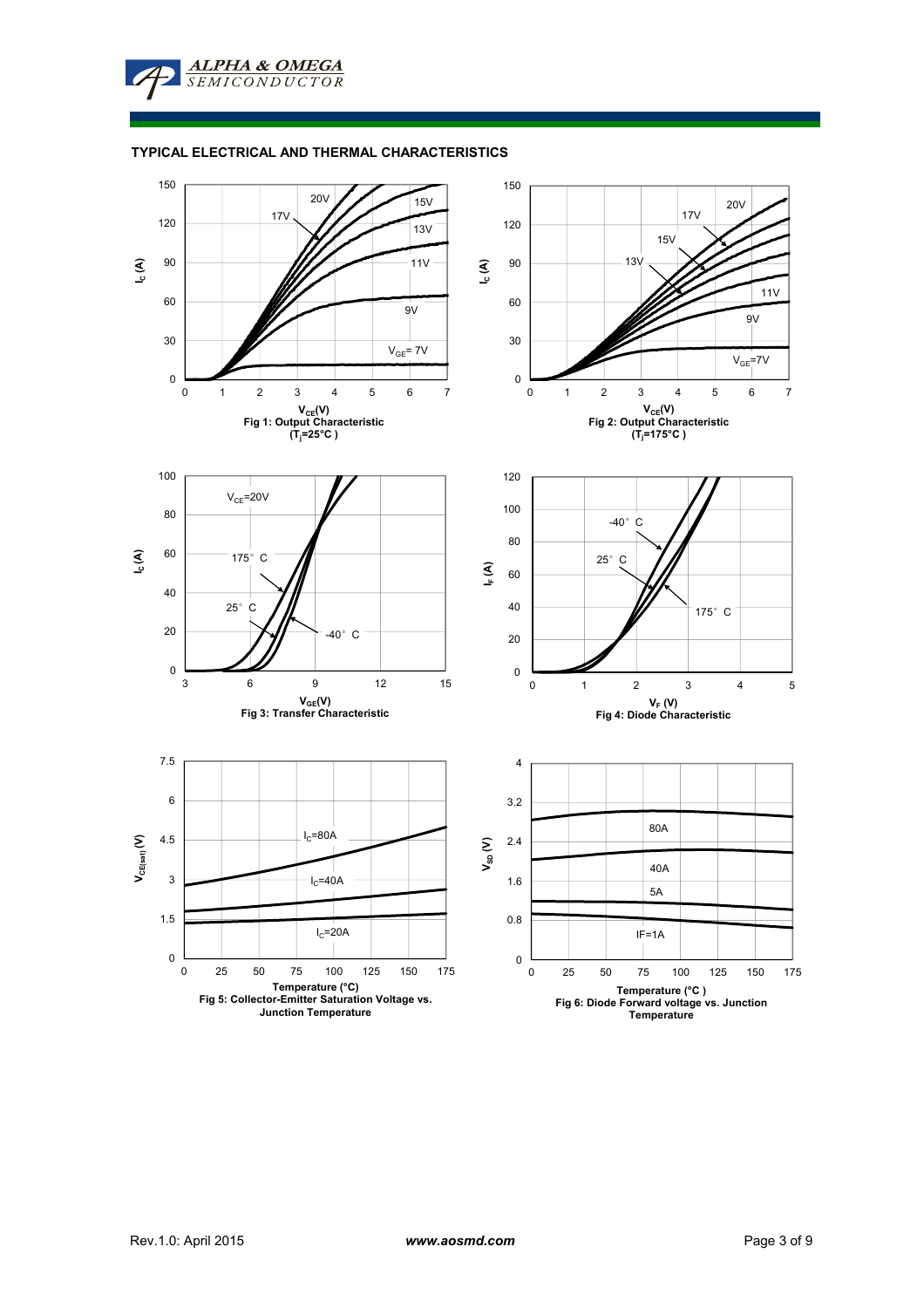

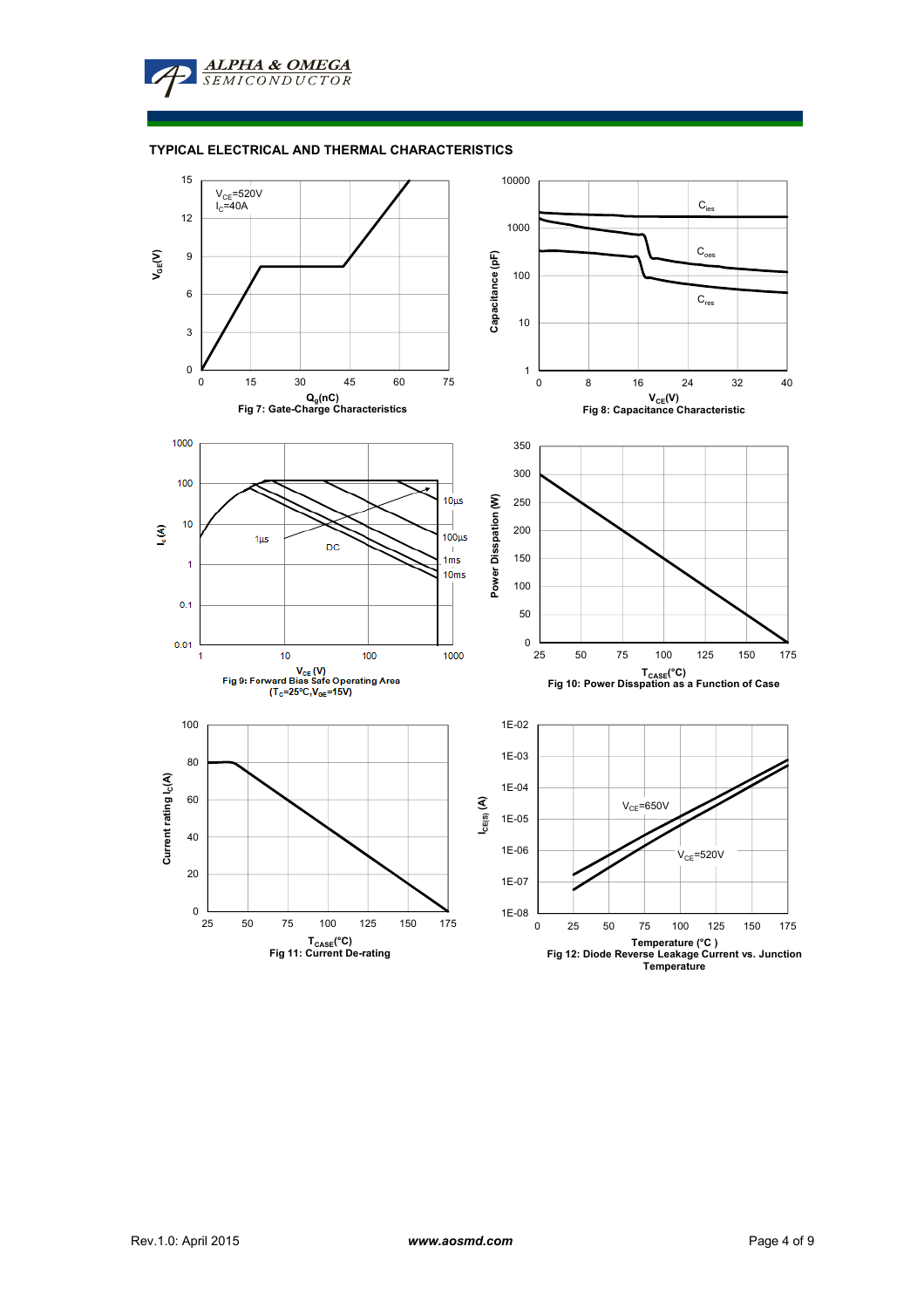

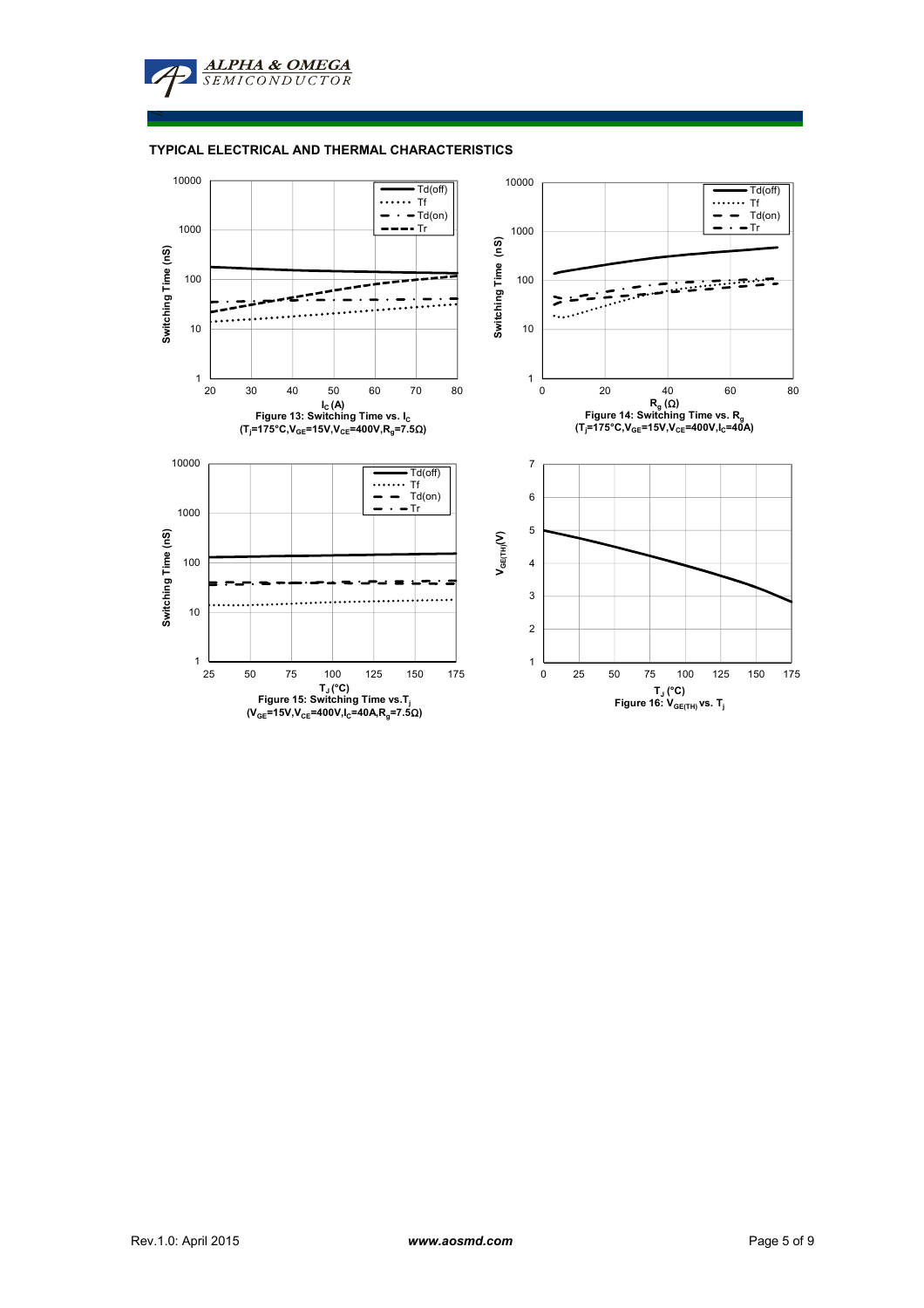**ALPHA & OMEGA SEMICONDUCTOR** 

≤

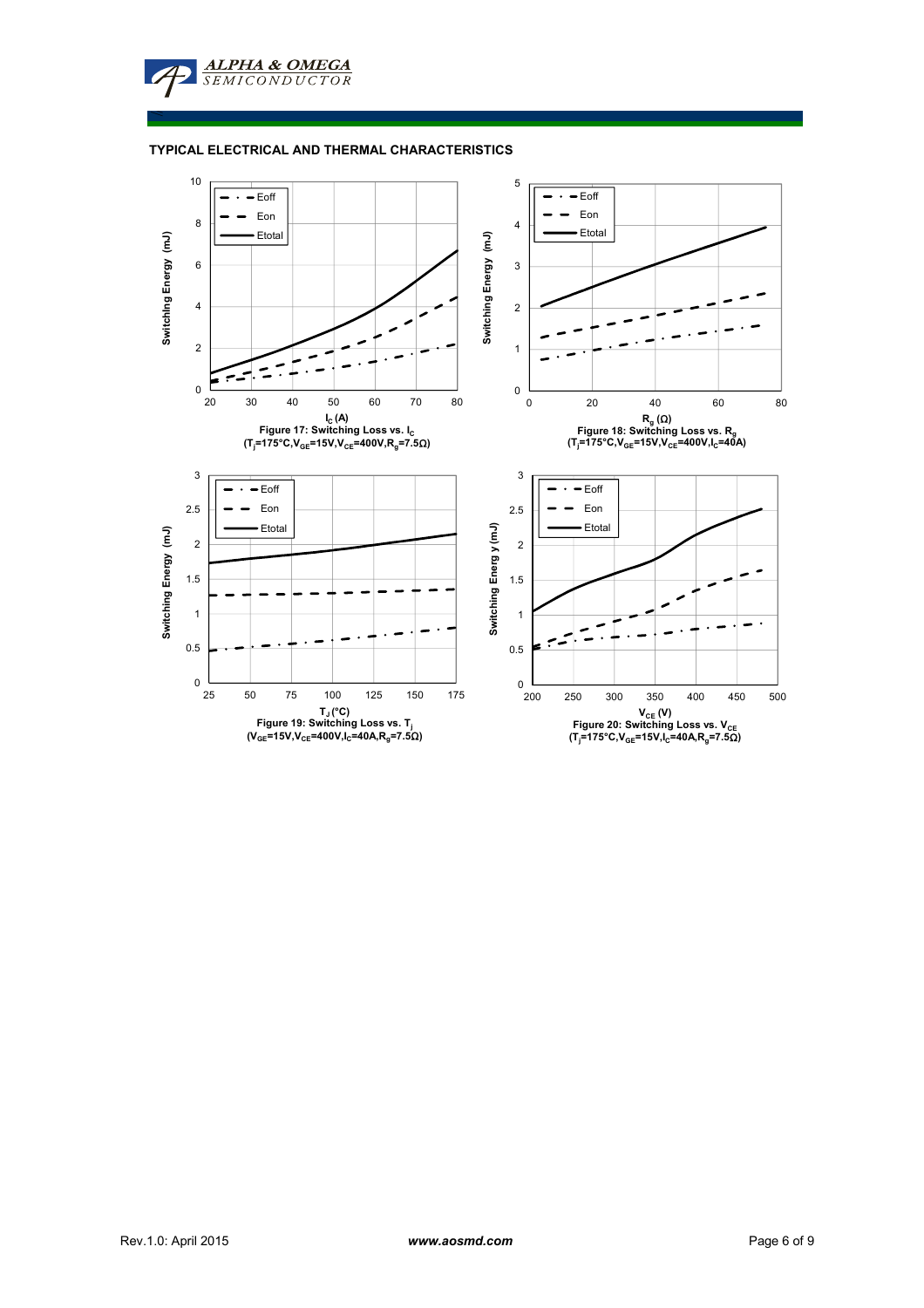**TYPICAL ELECTRICAL AND THERMAL CHARACTERISTICS**

**ALPHA & OMEGA**<br>SEMICONDUCTOR

≤

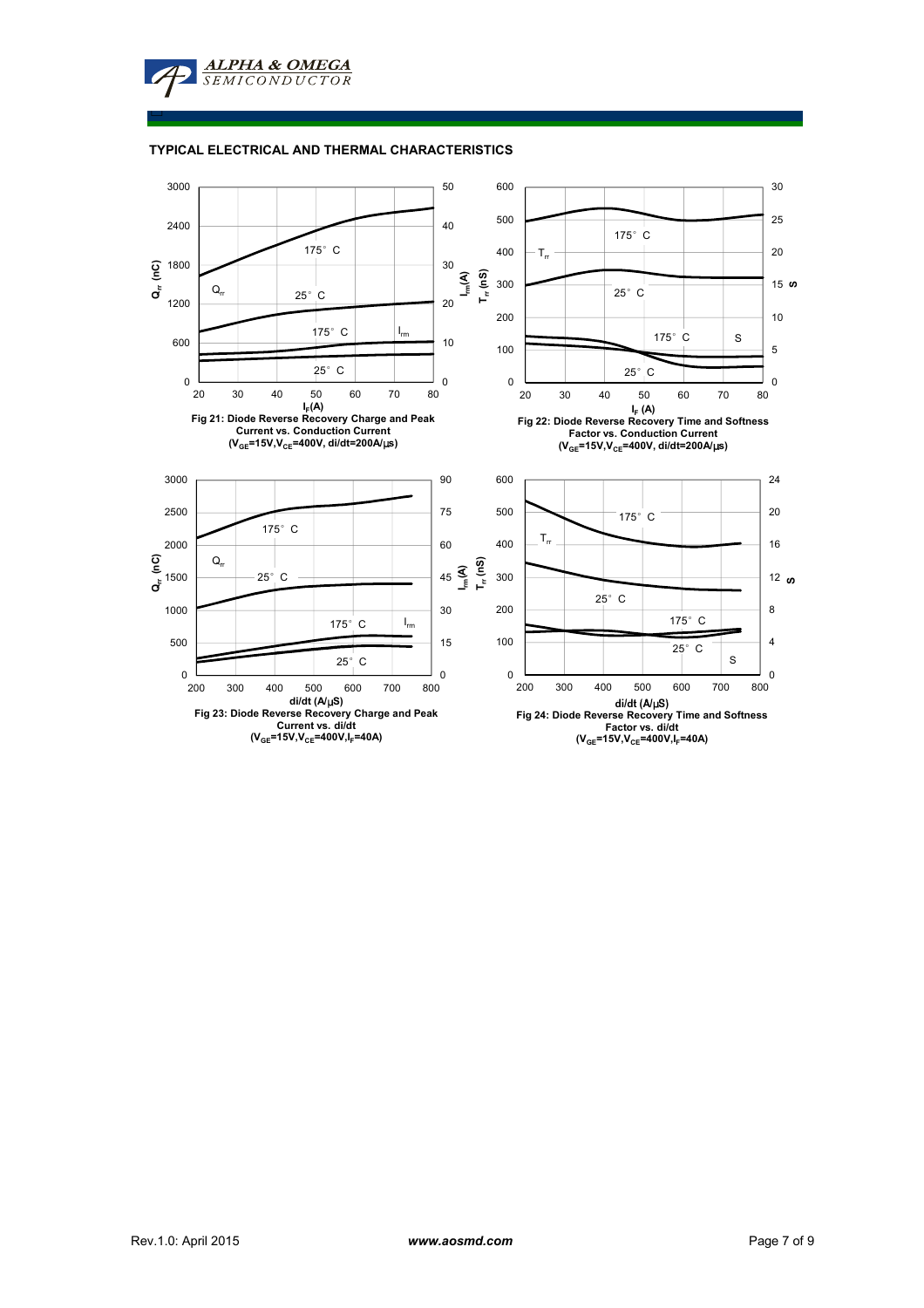**ALPHA & OMEGA**  $SEMICONDUCTOR$ 

□

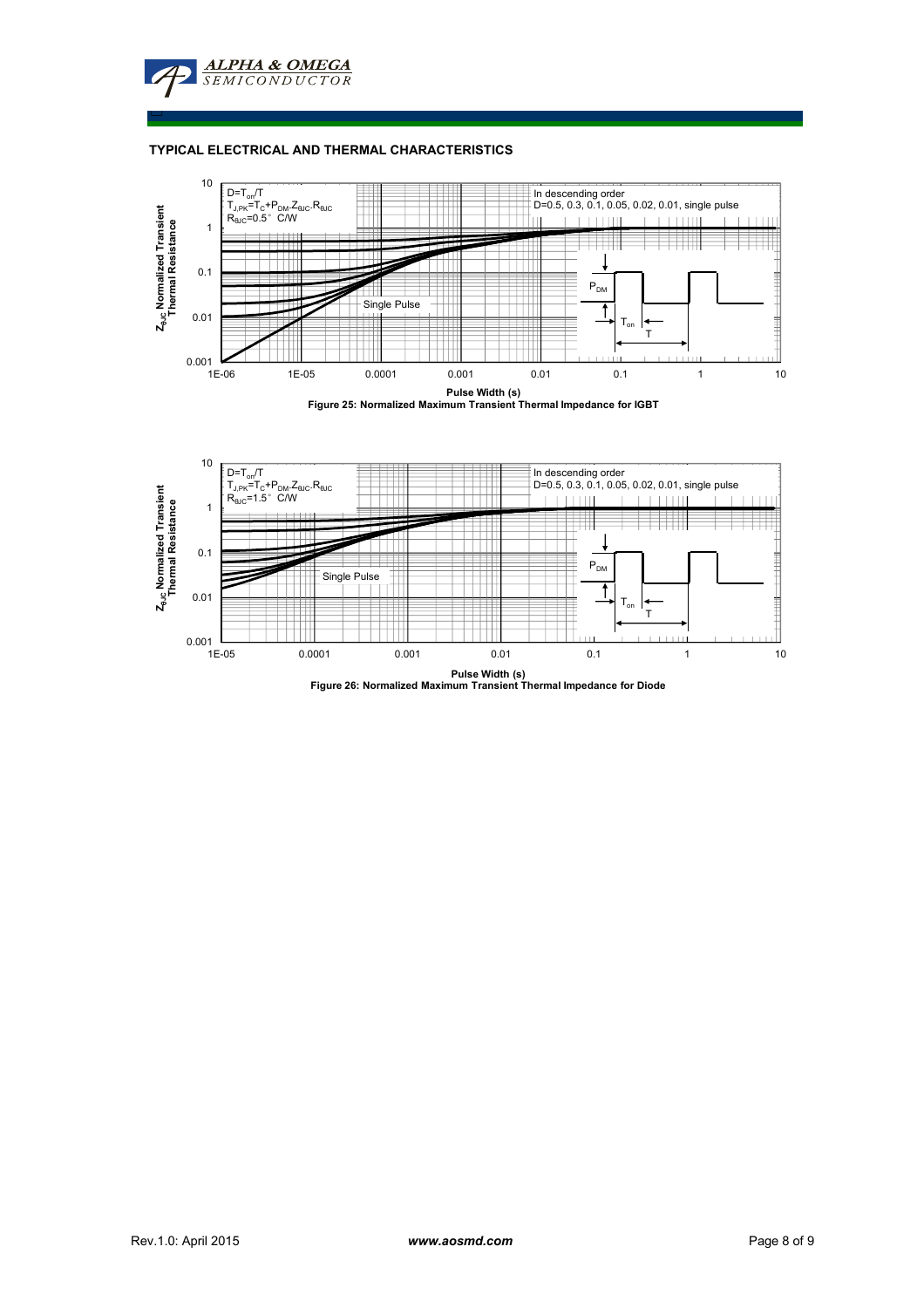

□

## **TYPICAL ELECTRICAL AND THERMAL CHARACTERISTICS**







**Pulse Width (s) Figure 26: Normalized Maximum Transient Thermal Impedance for Diode**